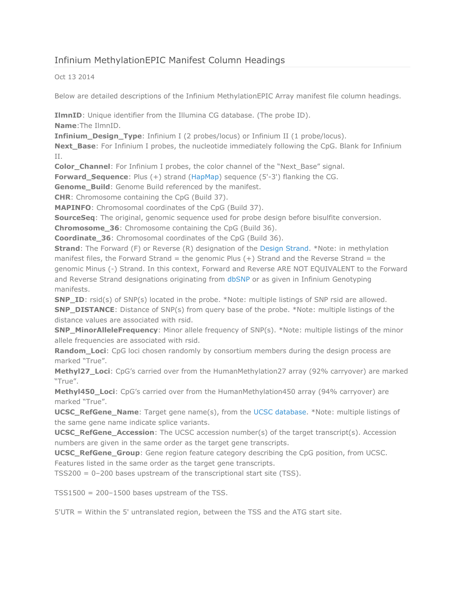## Infinium MethylationEPIC Manifest Column Headings

## Oct 13 2014

Below are detailed descriptions of the Infinium MethylationEPIC Array manifest file column headings.

**IlmnID**: Unique identifier from the Illumina CG database. (The probe ID). **Name**:The IlmnID.

**Infinium\_Design\_Type**: Infinium I (2 probes/locus) or Infinium II (1 probe/locus).

**Next\_Base**: For Infinium I probes, the nucleotide immediately following the CpG. Blank for Infinium II.

**Color\_Channel**: For Infinium I probes, the color channel of the "Next\_Base" signal.

**Forward\_Sequence**: Plus (+) strand [\(HapMap\)](http://hapmap.ncbi.nlm.nih.gov/) sequence (5'-3') flanking the CG.

**Genome\_Build**: Genome Build referenced by the manifest.

**CHR**: Chromosome containing the CpG (Build 37).

**MAPINFO**: Chromosomal coordinates of the CpG (Build 37).

**SourceSeq**: The original, genomic sequence used for probe design before bisulfite conversion.

**Chromosome\_36**: Chromosome containing the CpG (Build 36).

**Coordinate\_36**: Chromosomal coordinates of the CpG (Build 36).

**Strand**: The Forward (F) or Reverse (R) designation of the Design [Strand.](https://my.illumina.com/MyIllumina/Bulletin/tqyWwx_KzE-_uCrthbpcgw/dna-strand-designations) \*Note: in methylation manifest files, the Forward Strand = the genomic Plus  $(+)$  Strand and the Reverse Strand = the genomic Minus (-) Strand. In this context, Forward and Reverse ARE NOT EQUIVALENT to the Forward and Reverse Strand designations originating from [dbSNP](http://www.ncbi.nlm.nih.gov/projects/SNP/) or as given in Infinium Genotyping manifests.

**SNP\_ID**: rsid(s) of SNP(s) located in the probe. \*Note: multiple listings of SNP rsid are allowed. **SNP\_DISTANCE:** Distance of SNP(s) from query base of the probe. \*Note: multiple listings of the distance values are associated with rsid.

**SNP\_MinorAlleleFrequency**: Minor allele frequency of SNP(s). \*Note: multiple listings of the minor allele frequencies are associated with rsid.

**Random\_Loci:** CpG loci chosen randomly by consortium members during the design process are marked "True".

**Methyl27\_Loci**: CpG's carried over from the HumanMethylation27 array (92% carryover) are marked "True".

**Methyl450\_Loci**: CpG's carried over from the HumanMethylation450 array (94% carryover) are marked "True".

**UCSC\_RefGene\_Name**: Target gene name(s), from the UCSC [database.](https://genome.ucsc.edu/) \*Note: multiple listings of the same gene name indicate splice variants.

**UCSC\_RefGene\_Accession**: The UCSC accession number(s) of the target transcript(s). Accession numbers are given in the same order as the target gene transcripts.

**UCSC\_RefGene\_Group**: Gene region feature category describing the CpG position, from UCSC. Features listed in the same order as the target gene transcripts.

 $TSS200 = 0-200$  bases upstream of the transcriptional start site (TSS).

 $TSS1500 = 200-1500$  bases upstream of the TSS.

5'UTR = Within the 5' untranslated region, between the TSS and the ATG start site.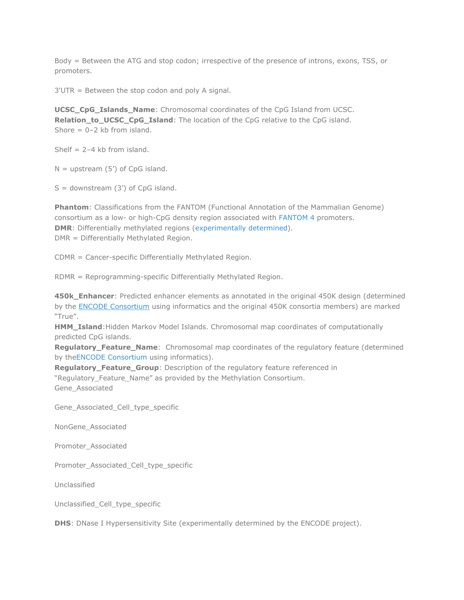Body = Between the ATG and stop codon; irrespective of the presence of introns, exons, TSS, or promoters.

3'UTR = Between the stop codon and poly A signal.

**UCSC\_CpG\_Islands\_Name**: Chromosomal coordinates of the CpG Island from UCSC. **Relation\_to\_UCSC\_CpG\_Island**: The location of the CpG relative to the CpG island. Shore  $= 0 - 2$  kb from island.

Shelf =  $2-4$  kb from island.

 $N =$  upstream (5') of CpG island.

 $S =$  downstream  $(3')$  of CpG island.

**Phantom**: Classifications from the FANTOM (Functional Annotation of the Mammalian Genome) consortium as a low- or high-CpG density region associated with [FANTOM](http://www.ncbi.nlm.nih.gov/pmc/articles/PMC2688930/pdf/gb-2009-10-4-r39.pdf) 4 promoters. **DMR**: Differentially methylated regions [\(experimentally](http://www.ncbi.nlm.nih.gov/pmc/articles/PMC2958040/pdf/nihms237010.pdf) determined). DMR = Differentially Methylated Region.

CDMR = Cancer-specific Differentially Methylated Region.

RDMR = Reprogramming-specific Differentially Methylated Region.

**450k\_Enhancer**: Predicted enhancer elements as annotated in the original 450K design (determined by the **ENCODE [Consortium](http://genome.ucsc.edu/ENCODE/)** using informatics and the original 450K consortia members) are marked "True".

**HMM\_Island**:Hidden Markov Model Islands. Chromosomal map coordinates of computationally predicted CpG islands.

**Regulatory\_Feature\_Name**: Chromosomal map coordinates of the regulatory feature (determined by theENCODE [Consortium](http://genome.ucsc.edu/ENCODE/) using informatics).

**Regulatory\_Feature\_Group**: Description of the regulatory feature referenced in "Regulatory\_Feature\_Name" as provided by the Methylation Consortium. Gene\_Associated

Gene\_Associated\_Cell\_type\_specific

NonGene\_Associated

Promoter\_Associated

Promoter\_Associated\_Cell\_type\_specific

Unclassified

Unclassified\_Cell\_type\_specific

**DHS**: DNase I Hypersensitivity Site (experimentally determined by the ENCODE project).